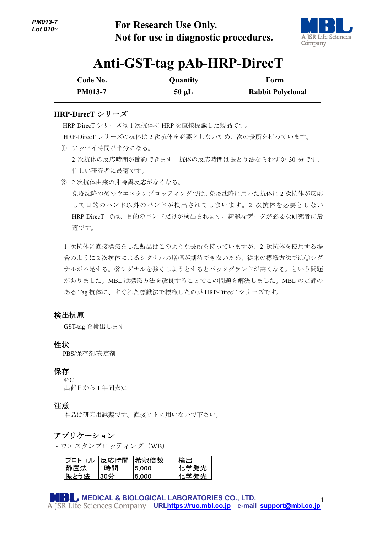**For Research Use Only. Not for use in diagnostic procedures.**



## **Anti-GST-tag pAb-HRP-DirecT**

| Code No.       | Quantity   | Form                     |
|----------------|------------|--------------------------|
| <b>PM013-7</b> | $50 \mu L$ | <b>Rabbit Polyclonal</b> |

## **HRP-DirecT** シリーズ

-

 HRP-DirecT シリーズは <sup>1</sup> 次抗体に HRP を直接標識した製品です。 HRP-DirecT シリーズの抗体は 2 次抗体を必要としないため、次の長所を持っています。

- ① アッセイ時間が半分になる。 2 次抗体の反応時間が節約できます。抗体の反応時間は振とう法ならわずか 30 分です。 忙しい研究者に最適です。
- ② 2 次抗体由来の非特異反応がなくなる。 免疫沈降の後のウエスタンブロッティングでは、免疫沈降に用いた抗体に 2 次抗体が反応 して目的のバンド以外のバンドが検出されてしまいます。2 次抗体を必要としない HRP-DirecT では、目的のバンドだけが検出されます。綺麗なデータが必要な研究者に最 適です。

1 次抗体に直接標識をした製品はこのような長所を持っていますが、2 次抗体を使用する場 合のように 2 次抗体によるシグナルの増幅が期待できないため、従来の標識方法では①シグ ナルが不足する。②シグナルを強くしようとするとバックグランドが高くなる。という問題 がありました。MBL は標識方法を改良することでこの問題を解決しました。MBL の定評の ある Tag 抗体に、すぐれた標識法で標識したのが HRP-DirecT シリーズです。

## 検出抗原

GST-tag を検出します。

## 性状

PBS/保存剤/安定剤

#### 保存

 $4^{\circ}C$ 出荷日から 1 年間安定

## 注意

本品は研究用試薬です。直接ヒトに用いないで下さい。

## アプリケーション

・ウエスタンブロッティング(WB)

| <b>プロトコル</b> | 反応時間 | 希釈倍数  | 検出   |
|--------------|------|-------|------|
| 静置法          | 1時間  | 5.000 | 化学発光 |
| 振とう法         | 30分  | 5.000 | 化学発光 |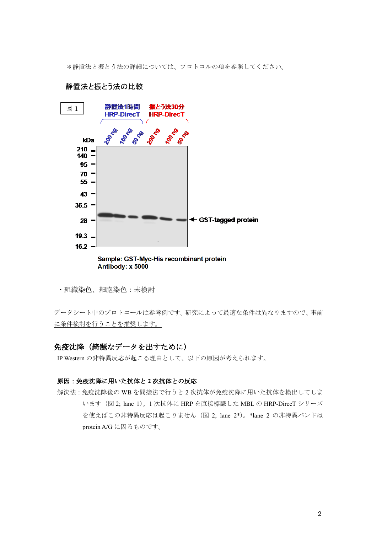\*静置法と振とう法の詳細については、プロトコルの項を参照してください。



#### 静置法と振とう法の比較

Sample: GST-Myc-His recombinant protein Antibody: x 5000

・組織染色、細胞染色:未検討

データシート中のプロトコールは参考例です。研究によって最適な条件は異なりますので、事前 に条件検討を行うことを推奨します。

## 免疫沈降(綺麗なデータを出すために)

IP Western の非特異反応が起こる理由として、以下の原因が考えられます。

## 原因:免疫沈降に用いた抗体と **2** 次抗体との反応

解決法:免疫沈降後の WB を間接法で行うと 2 次抗体が免疫沈降に用いた抗体を検出してしま います(図 2; lane 1)。1 次抗体に HRP を直接標識した MBL の HRP-DirecT シリーズ を使えばこの非特異反応は起こりません(図 2; lane 2\*)。\*lane 2 の非特異バンドは protein A/G に因るものです。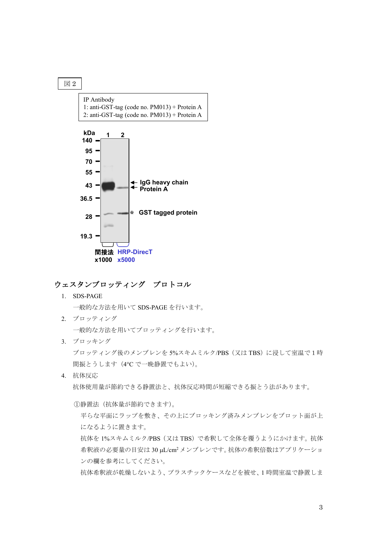

## ウェスタンブロッティング プロトコル

**x1000 x5000**

1. SDS-PAGE

一般的な方法を用いて SDS-PAGE を行います。

- 2. ブロッティング 一般的な方法を用いてブロッティングを行います。
- 3. ブロッキング ブロッティング後のメンブレンを 5%スキムミルク/PBS (又は TBS) に浸して室温で1時 間振とうします(4℃で一晩静置でもよい)。
- 4. 抗体反応 抗体使用量が節約できる静置法と、抗体反応時間が短縮できる振とう法があります。

①静置法(抗体量が節約できます)。

平らな平面にラップを敷き、その上にブロッキング済みメンブレンをブロット面が上 になるように置きます。

抗体を 1%スキムミルク/PBS(又は TBS)で希釈して全体を覆うようにかけます。抗体 希釈液の必要量の目安は 30 µL/cm2 メンブレンです。抗体の希釈倍数はアプリケーショ ンの欄を参考にしてください。

抗体希釈液が乾燥しないよう、プラスチックケースなどを被せ、1 時間室温で静置しま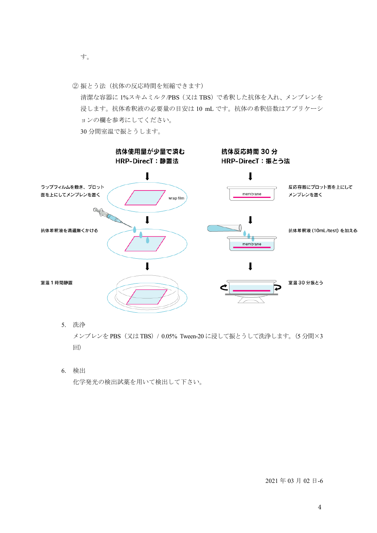- す。
- ② 振とう法(抗体の反応時間を短縮できます)

清潔な容器に 1%スキムミルク/PBS(又は TBS)で希釈した抗体を入れ、メンブレンを 浸します。抗体希釈液の必要量の目安は 10 mL です。抗体の希釈倍数はアプリケーシ ョンの欄を参考にしてください。

30 分間室温で振とうします。



5. 洗浄

メンブレンを PBS(又は TBS)/ 0.05% Tween-20 に浸して振とうして洗浄します。(5 分間×3 回)

6. 検出

化学発光の検出試薬を用いて検出して下さい。

2021 年 03 月 02 日-6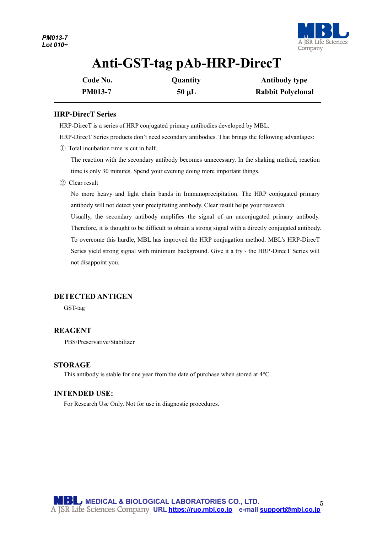

# **Anti-GST-tag pAb-HRP-DirecT**

| Code No.       | Quantity   | <b>Antibody type</b>     |
|----------------|------------|--------------------------|
| <b>PM013-7</b> | $50 \mu L$ | <b>Rabbit Polyclonal</b> |

## **HRP-DirecT Series**

-

HRP-DirecT is a series of HRP conjugated primary antibodies developed by MBL.

HRP-DirecT Series products don't need secondary antibodies. That brings the following advantages:

① Total incubation time is cut in half.

The reaction with the secondary antibody becomes unnecessary. In the shaking method, reaction time is only 30 minutes. Spend your evening doing more important things.

② Clear result

No more heavy and light chain bands in Immunoprecipitation. The HRP conjugated primary antibody will not detect your precipitating antibody. Clear result helps your research.

Usually, the secondary antibody amplifies the signal of an unconjugated primary antibody. Therefore, it is thought to be difficult to obtain a strong signal with a directly conjugated antibody. To overcome this hurdle, MBL has improved the HRP conjugation method. MBL's HRP-DirecT Series yield strong signal with minimum background. Give it a try - the HRP-DirecT Series will not disappoint you.

## **DETECTED ANTIGEN**

GST-tag

## **REAGENT**

PBS/Preservative/Stabilizer

#### **STORAGE**

This antibody is stable for one year from the date of purchase when stored at 4°C.

## **INTENDED USE:**

For Research Use Only. Not for use in diagnostic procedures.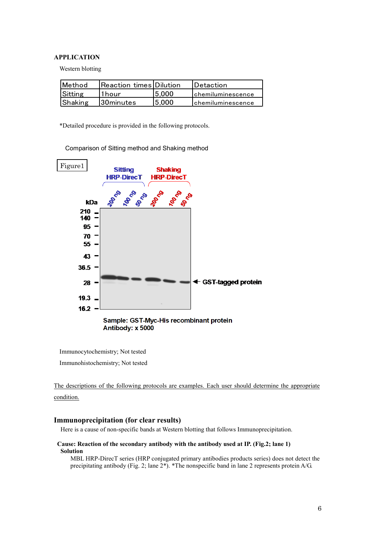#### **APPLICATION**

Western blotting

| <b>IMethod</b> | Reaction times  Dilution |        | <b>IDetaction</b>         |
|----------------|--------------------------|--------|---------------------------|
| Sitting        | '1 hour                  | 15.000 | <b>Ichemiluminescence</b> |
| Shaking        | 30minutes                | 15.000 | <b>Ichemiluminescence</b> |

\*Detailed procedure is provided in the following protocols.

Comparison of Sitting method and Shaking method



Antibody: x 5000

Immunocytochemistry; Not tested

Immunohistochemistry; Not tested

The descriptions of the following protocols are examples. Each user should determine the appropriate condition.

#### **Immunoprecipitation (for clear results)**

Here is a cause of non-specific bands at Western blotting that follows Immunoprecipitation.

#### **Cause: Reaction of the secondary antibody with the antibody used at IP. (Fig.2; lane 1) Solution**

MBL HRP-DirecT series (HRP conjugated primary antibodies products series) does not detect the precipitating antibody (Fig. 2; lane 2\*). \*The nonspecific band in lane 2 represents protein A/G.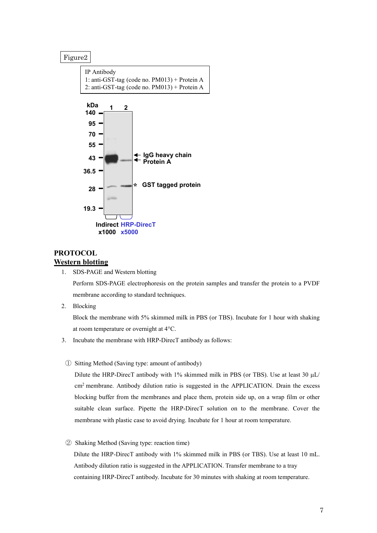#### Figure2



## **PROTOCOL Western blotting**

1. SDS-PAGE and Western blotting

Perform SDS-PAGE electrophoresis on the protein samples and transfer the protein to a PVDF membrane according to standard techniques.

2. Blocking

Block the membrane with 5% skimmed milk in PBS (or TBS). Incubate for 1 hour with shaking at room temperature or overnight at 4°C.

- 3. Incubate the membrane with HRP-DirecT antibody as follows:
- ① Sitting Method (Saving type: amount of antibody)

Dilute the HRP-DirecT antibody with 1% skimmed milk in PBS (or TBS). Use at least 30  $\mu$ L/ cm2 membrane. Antibody dilution ratio is suggested in the APPLICATION. Drain the excess blocking buffer from the membranes and place them, protein side up, on a wrap film or other suitable clean surface. Pipette the HRP-DirecT solution on to the membrane. Cover the membrane with plastic case to avoid drying. Incubate for 1 hour at room temperature.

② Shaking Method (Saving type: reaction time)

Dilute the HRP-DirecT antibody with 1% skimmed milk in PBS (or TBS). Use at least 10 mL. Antibody dilution ratio is suggested in the APPLICATION. Transfer membrane to a tray containing HRP-DirecT antibody. Incubate for 30 minutes with shaking at room temperature.